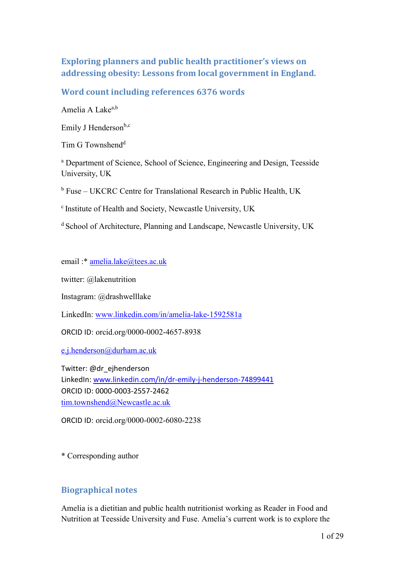# **Exploring planners and public health practitioner's views on addressing obesity: Lessons from local government in England.**

# **Word count including references 6376 words**

Amelia A Lake<sup>a,b</sup>

Emily J Henderson $b,c$ 

Tim G Townshend<sup>d</sup>

<sup>a</sup> Department of Science, School of Science, Engineering and Design, Teesside University, UK

<sup>b</sup> Fuse – UKCRC Centre for Translational Research in Public Health, UK

c Institute of Health and Society, Newcastle University, UK

d School of Architecture, Planning and Landscape, Newcastle University, UK

email :\* amelia.lake@tees.ac.uk

twitter: @lakenutrition

Instagram: @drashwelllake

LinkedIn: [www.linkedin.com/in/amelia-lake-1592581a](http://www.linkedin.com/in/amelia-lake-1592581a) 

ORCID ID: orcid.org/0000-0002-4657-8938

[e.j.henderson@durham.ac.uk](mailto:e.j.henderson@durham.ac.uk)

Twitter: @dr\_ejhenderson LinkedIn: [www.linkedin.com/in/dr-emily-j-henderson-74899441](http://www.linkedin.com/in/dr-emily-j-henderson-74899441) ORCID ID: 0000-0003-2557-2462 [tim.townshend@Newcastle.ac.uk](mailto:tim.townshend@Newcastle.ac.uk)

ORCID ID: orcid.org/0000-0002-6080-2238

\* Corresponding author

# **Biographical notes**

Amelia is a dietitian and public health nutritionist working as Reader in Food and Nutrition at Teesside University and Fuse. Amelia's current work is to explore the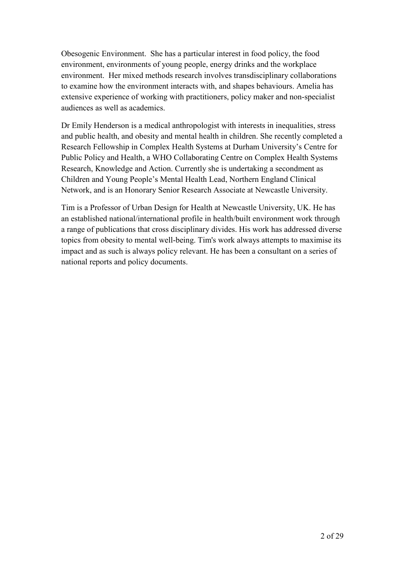Obesogenic Environment. She has a particular interest in food policy, the food environment, environments of young people, energy drinks and the workplace environment. Her mixed methods research involves transdisciplinary collaborations to examine how the environment interacts with, and shapes behaviours. Amelia has extensive experience of working with practitioners, policy maker and non-specialist audiences as well as academics.

Dr Emily Henderson is a medical anthropologist with interests in inequalities, stress and public health, and obesity and mental health in children. She recently completed a Research Fellowship in Complex Health Systems at Durham University's Centre for Public Policy and Health, a WHO Collaborating Centre on Complex Health Systems Research, Knowledge and Action. Currently she is undertaking a secondment as Children and Young People's Mental Health Lead, Northern England Clinical Network, and is an Honorary Senior Research Associate at Newcastle University.

Tim is a Professor of Urban Design for Health at Newcastle University, UK. He has an established national/international profile in health/built environment work through a range of publications that cross disciplinary divides. His work has addressed diverse topics from obesity to mental well-being. Tim's work always attempts to maximise its impact and as such is always policy relevant. He has been a consultant on a series of national reports and policy documents.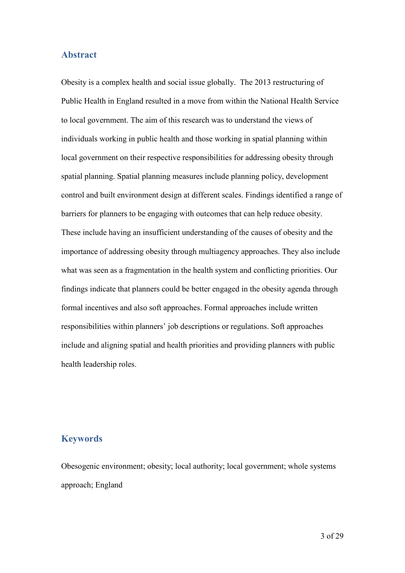### **Abstract**

Obesity is a complex health and social issue globally. The 2013 restructuring of Public Health in England resulted in a move from within the National Health Service to local government. The aim of this research was to understand the views of individuals working in public health and those working in spatial planning within local government on their respective responsibilities for addressing obesity through spatial planning. Spatial planning measures include planning policy, development control and built environment design at different scales. Findings identified a range of barriers for planners to be engaging with outcomes that can help reduce obesity. These include having an insufficient understanding of the causes of obesity and the importance of addressing obesity through multiagency approaches. They also include what was seen as a fragmentation in the health system and conflicting priorities. Our findings indicate that planners could be better engaged in the obesity agenda through formal incentives and also soft approaches. Formal approaches include written responsibilities within planners' job descriptions or regulations. Soft approaches include and aligning spatial and health priorities and providing planners with public health leadership roles.

# **Keywords**

Obesogenic environment; obesity; local authority; local government; whole systems approach; England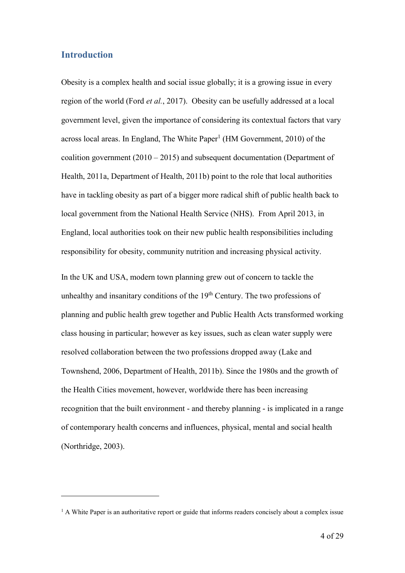## **Introduction**

<u>.</u>

Obesity is a complex health and social issue globally; it is a growing issue in every region of the world (Ford *et al.*, 2017). Obesity can be usefully addressed at a local government level, given the importance of considering its contextual factors that vary across local areas. In England, The White Paper<sup>1</sup> (HM Government, 2010) of the coalition government (2010 – 2015) and subsequent documentation (Department of Health, 2011a, Department of Health, 2011b) point to the role that local authorities have in tackling obesity as part of a bigger more radical shift of public health back to local government from the National Health Service (NHS). From April 2013, in England, local authorities took on their new public health responsibilities including responsibility for obesity, community nutrition and increasing physical activity.

In the UK and USA, modern town planning grew out of concern to tackle the unhealthy and insanitary conditions of the  $19<sup>th</sup>$  Century. The two professions of planning and public health grew together and Public Health Acts transformed working class housing in particular; however as key issues, such as clean water supply were resolved collaboration between the two professions dropped away (Lake and Townshend, 2006, Department of Health, 2011b). Since the 1980s and the growth of the Health Cities movement, however, worldwide there has been increasing recognition that the built environment - and thereby planning - is implicated in a range of contemporary health concerns and influences, physical, mental and social health (Northridge, 2003).

<sup>&</sup>lt;sup>1</sup> A White Paper is an authoritative report or guide that informs readers concisely about a complex issue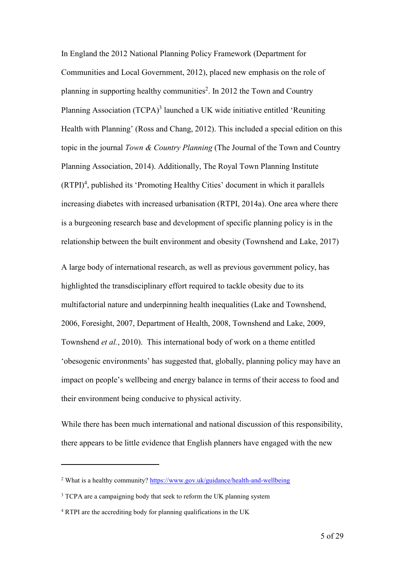In England the 2012 National Planning Policy Framework (Department for Communities and Local Government, 2012), placed new emphasis on the role of planning in supporting healthy communities<sup>2</sup>. In 2012 the Town and Country Planning Association  $(TCPA)^3$  launched a UK wide initiative entitled 'Reuniting Health with Planning' (Ross and Chang, 2012). This included a special edition on this topic in the journal *Town & Country Planning* (The Journal of the Town and Country Planning Association, 2014). Additionally, The Royal Town Planning Institute (RTPI)<sup>4</sup>, published its 'Promoting Healthy Cities' document in which it parallels increasing diabetes with increased urbanisation (RTPI, 2014a). One area where there is a burgeoning research base and development of specific planning policy is in the relationship between the built environment and obesity (Townshend and Lake, 2017)

A large body of international research, as well as previous government policy, has highlighted the transdisciplinary effort required to tackle obesity due to its multifactorial nature and underpinning health inequalities (Lake and Townshend, 2006, Foresight, 2007, Department of Health, 2008, Townshend and Lake, 2009, Townshend *et al.*, 2010). This international body of work on a theme entitled 'obesogenic environments' has suggested that, globally, planning policy may have an impact on people's wellbeing and energy balance in terms of their access to food and their environment being conducive to physical activity.

While there has been much international and national discussion of this responsibility, there appears to be little evidence that English planners have engaged with the new

<u>.</u>

<sup>2</sup> What is a healthy community?<https://www.gov.uk/guidance/health-and-wellbeing>

<sup>&</sup>lt;sup>3</sup> TCPA are a campaigning body that seek to reform the UK planning system

<sup>4</sup> RTPI are the accrediting body for planning qualifications in the UK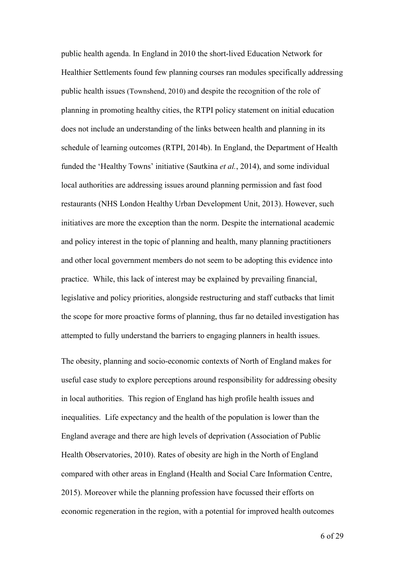public health agenda. In England in 2010 the short-lived Education Network for Healthier Settlements found few planning courses ran modules specifically addressing public health issues (Townshend, 2010) and despite the recognition of the role of planning in promoting healthy cities, the RTPI policy statement on initial education does not include an understanding of the links between health and planning in its schedule of learning outcomes (RTPI, 2014b). In England, the Department of Health funded the 'Healthy Towns' initiative (Sautkina *et al.*, 2014), and some individual local authorities are addressing issues around planning permission and fast food restaurants (NHS London Healthy Urban Development Unit, 2013). However, such initiatives are more the exception than the norm. Despite the international academic and policy interest in the topic of planning and health, many planning practitioners and other local government members do not seem to be adopting this evidence into practice. While, this lack of interest may be explained by prevailing financial, legislative and policy priorities, alongside restructuring and staff cutbacks that limit the scope for more proactive forms of planning, thus far no detailed investigation has attempted to fully understand the barriers to engaging planners in health issues.

The obesity, planning and socio-economic contexts of North of England makes for useful case study to explore perceptions around responsibility for addressing obesity in local authorities. This region of England has high profile health issues and inequalities. Life expectancy and the health of the population is lower than the England average and there are high levels of deprivation (Association of Public Health Observatories, 2010). Rates of obesity are high in the North of England compared with other areas in England (Health and Social Care Information Centre, 2015). Moreover while the planning profession have focussed their efforts on economic regeneration in the region, with a potential for improved health outcomes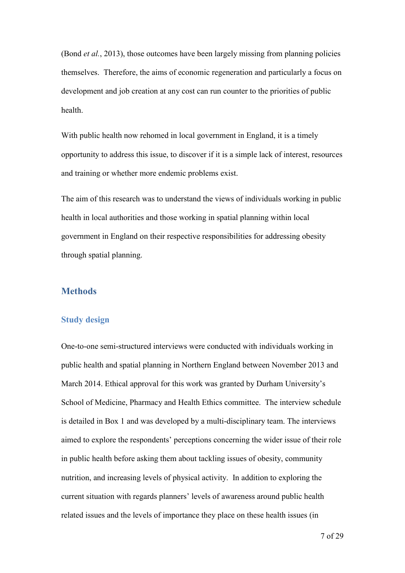(Bond *et al.*, 2013), those outcomes have been largely missing from planning policies themselves. Therefore, the aims of economic regeneration and particularly a focus on development and job creation at any cost can run counter to the priorities of public health.

With public health now rehomed in local government in England, it is a timely opportunity to address this issue, to discover if it is a simple lack of interest, resources and training or whether more endemic problems exist.

The aim of this research was to understand the views of individuals working in public health in local authorities and those working in spatial planning within local government in England on their respective responsibilities for addressing obesity through spatial planning.

# **Methods**

#### **Study design**

One-to-one semi-structured interviews were conducted with individuals working in public health and spatial planning in Northern England between November 2013 and March 2014. Ethical approval for this work was granted by Durham University's School of Medicine, Pharmacy and Health Ethics committee. The interview schedule is detailed in Box 1 and was developed by a multi-disciplinary team. The interviews aimed to explore the respondents' perceptions concerning the wider issue of their role in public health before asking them about tackling issues of obesity, community nutrition, and increasing levels of physical activity. In addition to exploring the current situation with regards planners' levels of awareness around public health related issues and the levels of importance they place on these health issues (in

7 of 29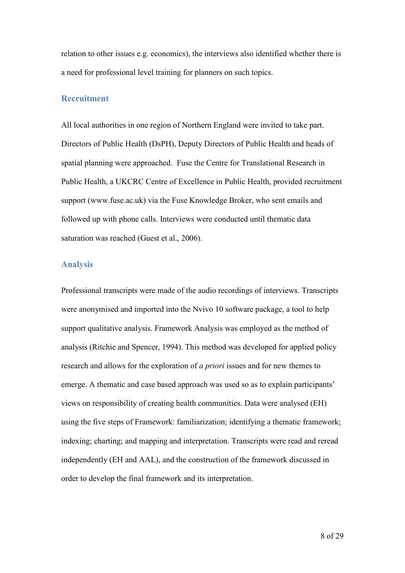relation to other issues e.g. economics), the interviews also identified whether there is a need for professional level training for planners on such topics.

### **Recruitment**

All local authorities in one region of Northern England were invited to take part. Directors of Public Health (DsPH), Deputy Directors of Public Health and heads of spatial planning were approached. Fuse the Centre for Translational Research in Public Health, a UKCRC Centre of Excellence in Public Health, provided recruitment support (www.fuse.ac.uk) via the Fuse Knowledge Broker, who sent emails and followed up with phone calls. Interviews were conducted until thematic data saturation was reached (Guest et al., 2006).

### **Analysis**

Professional transcripts were made of the audio recordings of interviews. Transcripts were anonymised and imported into the Nvivo 10 software package, a tool to help support qualitative analysis. Framework Analysis was employed as the method of analysis (Ritchie and Spencer, 1994). This method was developed for applied policy research and allows for the exploration of *a priori* issues and for new themes to emerge. A thematic and case based approach was used so as to explain participants' views on responsibility of creating health communities. Data were analysed (EH) using the five steps of Framework: familiarization; identifying a thematic framework; indexing; charting; and mapping and interpretation. Transcripts were read and reread independently (EH and AAL), and the construction of the framework discussed in order to develop the final framework and its interpretation.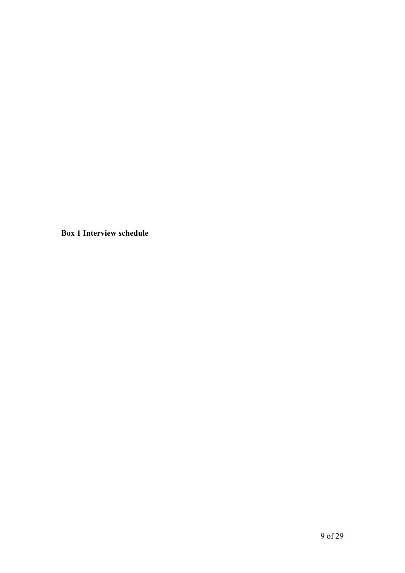**Box 1 Interview schedule**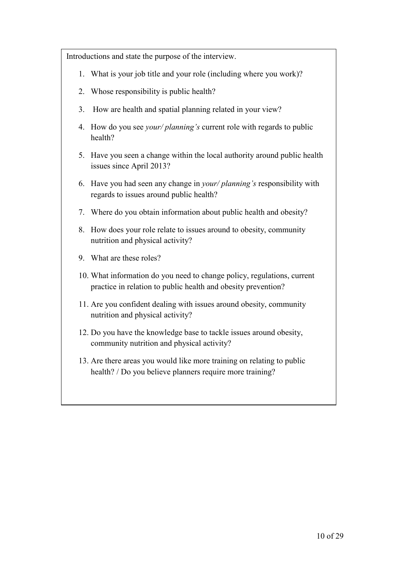Introductions and state the purpose of the interview.

- 1. What is your job title and your role (including where you work)?
- 2. Whose responsibility is public health?
- 3. How are health and spatial planning related in your view?
- 4. How do you see *your/ planning's* current role with regards to public health?
- 5. Have you seen a change within the local authority around public health issues since April 2013?
- 6. Have you had seen any change in *your/ planning's* responsibility with regards to issues around public health?
- 7. Where do you obtain information about public health and obesity?
- 8. How does your role relate to issues around to obesity, community nutrition and physical activity?
- 9. What are these roles?
- 10. What information do you need to change policy, regulations, current practice in relation to public health and obesity prevention?
- 11. Are you confident dealing with issues around obesity, community nutrition and physical activity?
- 12. Do you have the knowledge base to tackle issues around obesity, community nutrition and physical activity?
- 13. Are there areas you would like more training on relating to public health? / Do you believe planners require more training?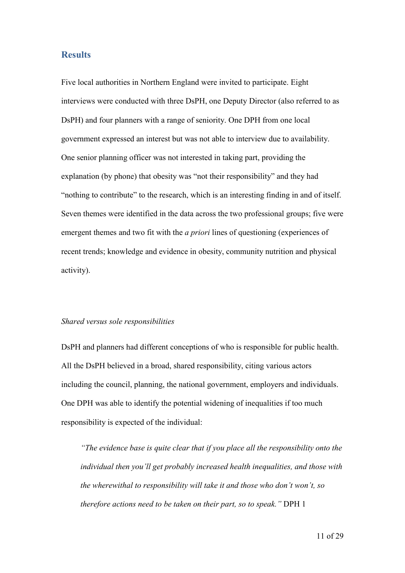### **Results**

Five local authorities in Northern England were invited to participate. Eight interviews were conducted with three DsPH, one Deputy Director (also referred to as DsPH) and four planners with a range of seniority. One DPH from one local government expressed an interest but was not able to interview due to availability. One senior planning officer was not interested in taking part, providing the explanation (by phone) that obesity was "not their responsibility" and they had "nothing to contribute" to the research, which is an interesting finding in and of itself. Seven themes were identified in the data across the two professional groups; five were emergent themes and two fit with the *a priori* lines of questioning (experiences of recent trends; knowledge and evidence in obesity, community nutrition and physical activity).

#### *Shared versus sole responsibilities*

DsPH and planners had different conceptions of who is responsible for public health. All the DsPH believed in a broad, shared responsibility, citing various actors including the council, planning, the national government, employers and individuals. One DPH was able to identify the potential widening of inequalities if too much responsibility is expected of the individual:

*"The evidence base is quite clear that if you place all the responsibility onto the individual then you'll get probably increased health inequalities, and those with the wherewithal to responsibility will take it and those who don't won't, so therefore actions need to be taken on their part, so to speak."* DPH 1

11 of 29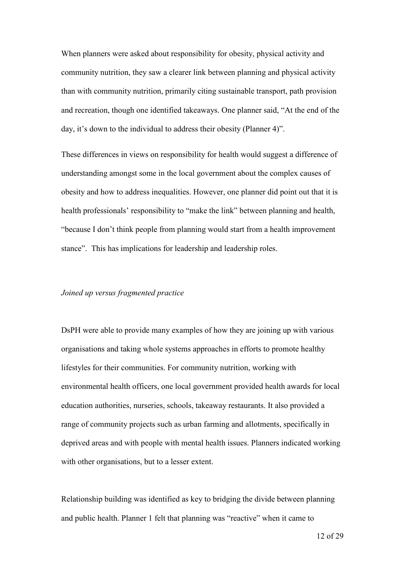When planners were asked about responsibility for obesity, physical activity and community nutrition, they saw a clearer link between planning and physical activity than with community nutrition, primarily citing sustainable transport, path provision and recreation, though one identified takeaways. One planner said, "At the end of the day, it's down to the individual to address their obesity (Planner 4)".

These differences in views on responsibility for health would suggest a difference of understanding amongst some in the local government about the complex causes of obesity and how to address inequalities. However, one planner did point out that it is health professionals' responsibility to "make the link" between planning and health, "because I don't think people from planning would start from a health improvement stance". This has implications for leadership and leadership roles.

#### *Joined up versus fragmented practice*

DsPH were able to provide many examples of how they are joining up with various organisations and taking whole systems approaches in efforts to promote healthy lifestyles for their communities. For community nutrition, working with environmental health officers, one local government provided health awards for local education authorities, nurseries, schools, takeaway restaurants. It also provided a range of community projects such as urban farming and allotments, specifically in deprived areas and with people with mental health issues. Planners indicated working with other organisations, but to a lesser extent.

Relationship building was identified as key to bridging the divide between planning and public health. Planner 1 felt that planning was "reactive" when it came to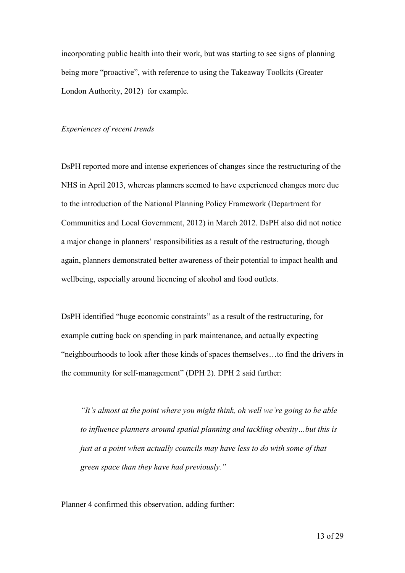incorporating public health into their work, but was starting to see signs of planning being more "proactive", with reference to using the Takeaway Toolkits (Greater London Authority, 2012) for example.

#### *Experiences of recent trends*

DsPH reported more and intense experiences of changes since the restructuring of the NHS in April 2013, whereas planners seemed to have experienced changes more due to the introduction of the National Planning Policy Framework (Department for Communities and Local Government, 2012) in March 2012. DsPH also did not notice a major change in planners' responsibilities as a result of the restructuring, though again, planners demonstrated better awareness of their potential to impact health and wellbeing, especially around licencing of alcohol and food outlets.

DsPH identified "huge economic constraints" as a result of the restructuring, for example cutting back on spending in park maintenance, and actually expecting "neighbourhoods to look after those kinds of spaces themselves…to find the drivers in the community for self-management" (DPH 2). DPH 2 said further:

*"It's almost at the point where you might think, oh well we're going to be able to influence planners around spatial planning and tackling obesity…but this is just at a point when actually councils may have less to do with some of that green space than they have had previously."* 

Planner 4 confirmed this observation, adding further: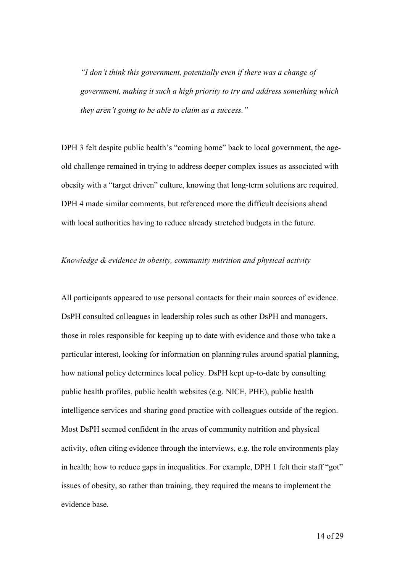*"I don't think this government, potentially even if there was a change of government, making it such a high priority to try and address something which they aren't going to be able to claim as a success."* 

DPH 3 felt despite public health's "coming home" back to local government, the ageold challenge remained in trying to address deeper complex issues as associated with obesity with a "target driven" culture, knowing that long-term solutions are required. DPH 4 made similar comments, but referenced more the difficult decisions ahead with local authorities having to reduce already stretched budgets in the future.

#### *Knowledge & evidence in obesity, community nutrition and physical activity*

All participants appeared to use personal contacts for their main sources of evidence. DsPH consulted colleagues in leadership roles such as other DsPH and managers, those in roles responsible for keeping up to date with evidence and those who take a particular interest, looking for information on planning rules around spatial planning, how national policy determines local policy. DsPH kept up-to-date by consulting public health profiles, public health websites (e.g. NICE, PHE), public health intelligence services and sharing good practice with colleagues outside of the region. Most DsPH seemed confident in the areas of community nutrition and physical activity, often citing evidence through the interviews, e.g. the role environments play in health; how to reduce gaps in inequalities. For example, DPH 1 felt their staff "got" issues of obesity, so rather than training, they required the means to implement the evidence base.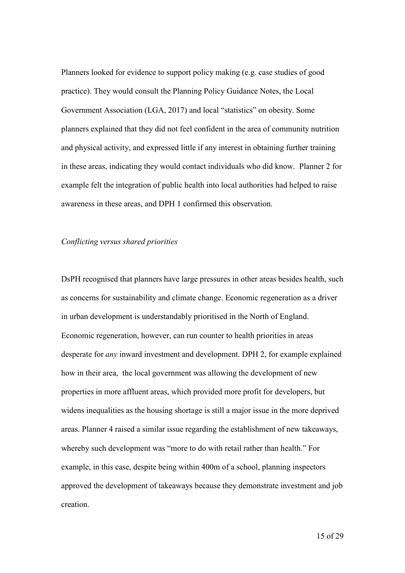Planners looked for evidence to support policy making (e.g. case studies of good practice). They would consult the Planning Policy Guidance Notes, the Local Government Association (LGA, 2017) and local "statistics" on obesity. Some planners explained that they did not feel confident in the area of community nutrition and physical activity, and expressed little if any interest in obtaining further training in these areas, indicating they would contact individuals who did know. Planner 2 for example felt the integration of public health into local authorities had helped to raise awareness in these areas, and DPH 1 confirmed this observation.

#### *Conflicting versus shared priorities*

DsPH recognised that planners have large pressures in other areas besides health, such as concerns for sustainability and climate change. Economic regeneration as a driver in urban development is understandably prioritised in the North of England. Economic regeneration, however, can run counter to health priorities in areas desperate for *any* inward investment and development. DPH 2, for example explained how in their area, the local government was allowing the development of new properties in more affluent areas, which provided more profit for developers, but widens inequalities as the housing shortage is still a major issue in the more deprived areas. Planner 4 raised a similar issue regarding the establishment of new takeaways, whereby such development was "more to do with retail rather than health." For example, in this case, despite being within 400m of a school, planning inspectors approved the development of takeaways because they demonstrate investment and job creation.

15 of 29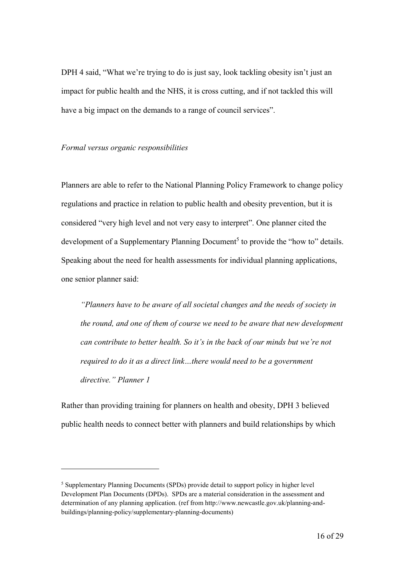DPH 4 said, "What we're trying to do is just say, look tackling obesity isn't just an impact for public health and the NHS, it is cross cutting, and if not tackled this will have a big impact on the demands to a range of council services".

#### *Formal versus organic responsibilities*

<u>.</u>

Planners are able to refer to the National Planning Policy Framework to change policy regulations and practice in relation to public health and obesity prevention, but it is considered "very high level and not very easy to interpret". One planner cited the development of a Supplementary Planning Document<sup>5</sup> to provide the "how to" details. Speaking about the need for health assessments for individual planning applications, one senior planner said:

*"Planners have to be aware of all societal changes and the needs of society in the round, and one of them of course we need to be aware that new development can contribute to better health. So it's in the back of our minds but we're not required to do it as a direct link…there would need to be a government directive." Planner 1* 

Rather than providing training for planners on health and obesity, DPH 3 believed public health needs to connect better with planners and build relationships by which

<sup>5</sup> Supplementary Planning Documents (SPDs) provide detail to support policy in higher level Development Plan Documents (DPDs). SPDs are a material consideration in the assessment and determination of any planning application. (ref from http://www.newcastle.gov.uk/planning-andbuildings/planning-policy/supplementary-planning-documents)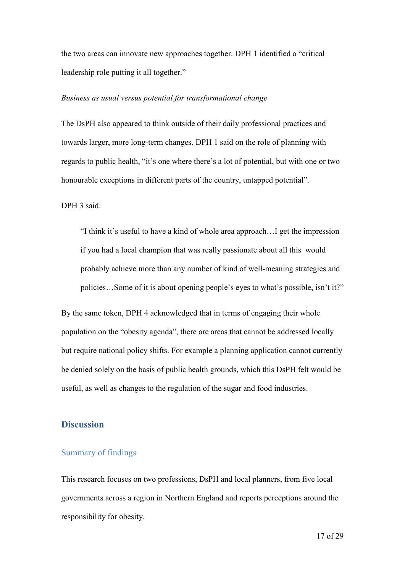the two areas can innovate new approaches together. DPH 1 identified a "critical leadership role putting it all together."

#### *Business as usual versus potential for transformational change*

The DsPH also appeared to think outside of their daily professional practices and towards larger, more long-term changes. DPH 1 said on the role of planning with regards to public health, "it's one where there's a lot of potential, but with one or two honourable exceptions in different parts of the country, untapped potential".

DPH 3 said:

"I think it's useful to have a kind of whole area approach…I get the impression if you had a local champion that was really passionate about all this would probably achieve more than any number of kind of well-meaning strategies and policies…Some of it is about opening people's eyes to what's possible, isn't it?"

By the same token, DPH 4 acknowledged that in terms of engaging their whole population on the "obesity agenda", there are areas that cannot be addressed locally but require national policy shifts. For example a planning application cannot currently be denied solely on the basis of public health grounds, which this DsPH felt would be useful, as well as changes to the regulation of the sugar and food industries.

# **Discussion**

### Summary of findings

This research focuses on two professions, DsPH and local planners, from five local governments across a region in Northern England and reports perceptions around the responsibility for obesity.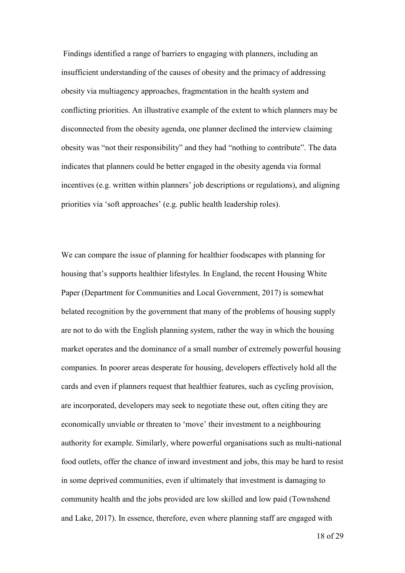Findings identified a range of barriers to engaging with planners, including an insufficient understanding of the causes of obesity and the primacy of addressing obesity via multiagency approaches, fragmentation in the health system and conflicting priorities. An illustrative example of the extent to which planners may be disconnected from the obesity agenda, one planner declined the interview claiming obesity was "not their responsibility" and they had "nothing to contribute". The data indicates that planners could be better engaged in the obesity agenda via formal incentives (e.g. written within planners' job descriptions or regulations), and aligning priorities via 'soft approaches' (e.g. public health leadership roles).

We can compare the issue of planning for healthier foodscapes with planning for housing that's supports healthier lifestyles. In England, the recent Housing White Paper (Department for Communities and Local Government, 2017) is somewhat belated recognition by the government that many of the problems of housing supply are not to do with the English planning system, rather the way in which the housing market operates and the dominance of a small number of extremely powerful housing companies. In poorer areas desperate for housing, developers effectively hold all the cards and even if planners request that healthier features, such as cycling provision, are incorporated, developers may seek to negotiate these out, often citing they are economically unviable or threaten to 'move' their investment to a neighbouring authority for example. Similarly, where powerful organisations such as multi-national food outlets, offer the chance of inward investment and jobs, this may be hard to resist in some deprived communities, even if ultimately that investment is damaging to community health and the jobs provided are low skilled and low paid (Townshend and Lake, 2017). In essence, therefore, even where planning staff are engaged with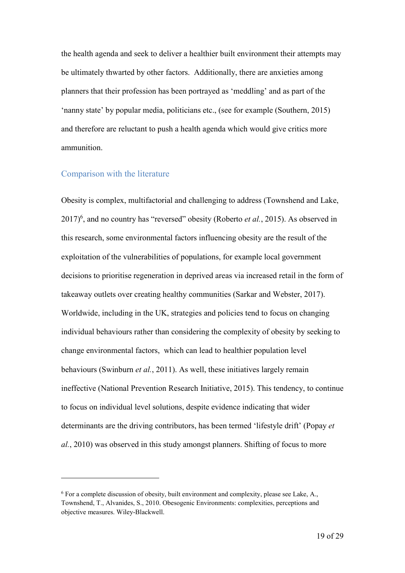the health agenda and seek to deliver a healthier built environment their attempts may be ultimately thwarted by other factors. Additionally, there are anxieties among planners that their profession has been portrayed as 'meddling' and as part of the 'nanny state' by popular media, politicians etc., (see for example (Southern, 2015) and therefore are reluctant to push a health agenda which would give critics more ammunition.

#### Comparison with the literature

<u>.</u>

Obesity is complex, multifactorial and challenging to address (Townshend and Lake, 2017)<sup>6</sup>, and no country has "reversed" obesity (Roberto *et al.*, 2015). As observed in this research, some environmental factors influencing obesity are the result of the exploitation of the vulnerabilities of populations, for example local government decisions to prioritise regeneration in deprived areas via increased retail in the form of takeaway outlets over creating healthy communities (Sarkar and Webster, 2017). Worldwide, including in the UK, strategies and policies tend to focus on changing individual behaviours rather than considering the complexity of obesity by seeking to change environmental factors, which can lead to healthier population level behaviours (Swinburn *et al.*, 2011). As well, these initiatives largely remain ineffective (National Prevention Research Initiative, 2015). This tendency, to continue to focus on individual level solutions, despite evidence indicating that wider determinants are the driving contributors, has been termed 'lifestyle drift' (Popay *et al.*, 2010) was observed in this study amongst planners. Shifting of focus to more

<sup>6</sup> For a complete discussion of obesity, built environment and complexity, please see Lake, A., Townshend, T., Alvanides, S., 2010. Obesogenic Environments: complexities, perceptions and objective measures. Wiley-Blackwell.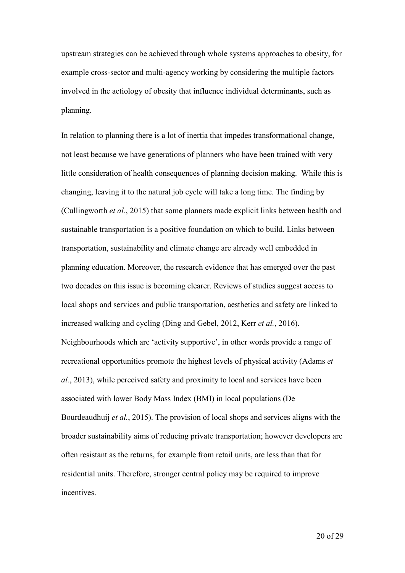upstream strategies can be achieved through whole systems approaches to obesity, for example cross-sector and multi-agency working by considering the multiple factors involved in the aetiology of obesity that influence individual determinants, such as planning.

In relation to planning there is a lot of inertia that impedes transformational change, not least because we have generations of planners who have been trained with very little consideration of health consequences of planning decision making. While this is changing, leaving it to the natural job cycle will take a long time. The finding by (Cullingworth *et al.*, 2015) that some planners made explicit links between health and sustainable transportation is a positive foundation on which to build. Links between transportation, sustainability and climate change are already well embedded in planning education. Moreover, the research evidence that has emerged over the past two decades on this issue is becoming clearer. Reviews of studies suggest access to local shops and services and public transportation, aesthetics and safety are linked to increased walking and cycling (Ding and Gebel, 2012, Kerr *et al.*, 2016). Neighbourhoods which are 'activity supportive', in other words provide a range of recreational opportunities promote the highest levels of physical activity (Adams *et al.*, 2013), while perceived safety and proximity to local and services have been associated with lower Body Mass Index (BMI) in local populations (De Bourdeaudhuij *et al.*, 2015). The provision of local shops and services aligns with the broader sustainability aims of reducing private transportation; however developers are often resistant as the returns, for example from retail units, are less than that for residential units. Therefore, stronger central policy may be required to improve incentives.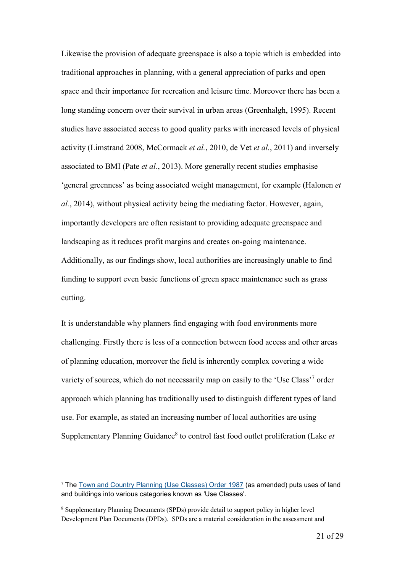Likewise the provision of adequate greenspace is also a topic which is embedded into traditional approaches in planning, with a general appreciation of parks and open space and their importance for recreation and leisure time. Moreover there has been a long standing concern over their survival in urban areas (Greenhalgh, 1995). Recent studies have associated access to good quality parks with increased levels of physical activity (Limstrand 2008, McCormack *et al.*, 2010, de Vet *et al.*, 2011) and inversely associated to BMI (Pate *et al.*, 2013). More generally recent studies emphasise 'general greenness' as being associated weight management, for example (Halonen *et al.*, 2014), without physical activity being the mediating factor. However, again, importantly developers are often resistant to providing adequate greenspace and landscaping as it reduces profit margins and creates on-going maintenance. Additionally, as our findings show, local authorities are increasingly unable to find funding to support even basic functions of green space maintenance such as grass cutting.

It is understandable why planners find engaging with food environments more challenging. Firstly there is less of a connection between food access and other areas of planning education, moreover the field is inherently complex covering a wide variety of sources, which do not necessarily map on easily to the 'Use Class'7 order approach which planning has traditionally used to distinguish different types of land use. For example, as stated an increasing number of local authorities are using Supplementary Planning Guidance<sup>8</sup> to control fast food outlet proliferation (Lake et

<u>.</u>

<sup>7</sup> The [Town and Country Planning \(Use Classes\) Order 1987](http://www.legislation.gov.uk/uksi/1987/764/contents/made) (as amended) puts uses of land and buildings into various categories known as 'Use Classes'.

<sup>8</sup> Supplementary Planning Documents (SPDs) provide detail to support policy in higher level Development Plan Documents (DPDs). SPDs are a material consideration in the assessment and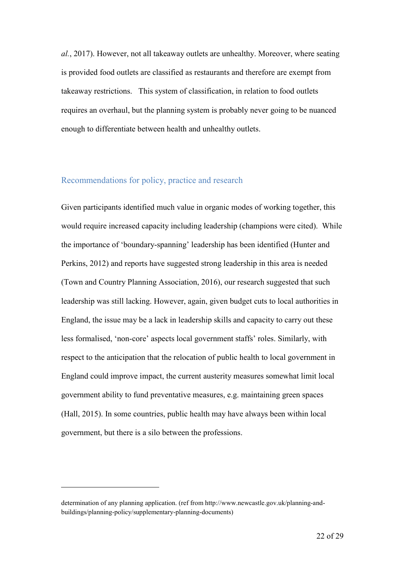*al.*, 2017). However, not all takeaway outlets are unhealthy. Moreover, where seating is provided food outlets are classified as restaurants and therefore are exempt from takeaway restrictions. This system of classification, in relation to food outlets requires an overhaul, but the planning system is probably never going to be nuanced enough to differentiate between health and unhealthy outlets.

### Recommendations for policy, practice and research

Given participants identified much value in organic modes of working together, this would require increased capacity including leadership (champions were cited). While the importance of 'boundary-spanning' leadership has been identified (Hunter and Perkins, 2012) and reports have suggested strong leadership in this area is needed (Town and Country Planning Association, 2016), our research suggested that such leadership was still lacking. However, again, given budget cuts to local authorities in England, the issue may be a lack in leadership skills and capacity to carry out these less formalised, 'non-core' aspects local government staffs' roles. Similarly, with respect to the anticipation that the relocation of public health to local government in England could improve impact, the current austerity measures somewhat limit local government ability to fund preventative measures, e.g. maintaining green spaces (Hall, 2015). In some countries, public health may have always been within local government, but there is a silo between the professions.

-

determination of any planning application. (ref from http://www.newcastle.gov.uk/planning-andbuildings/planning-policy/supplementary-planning-documents)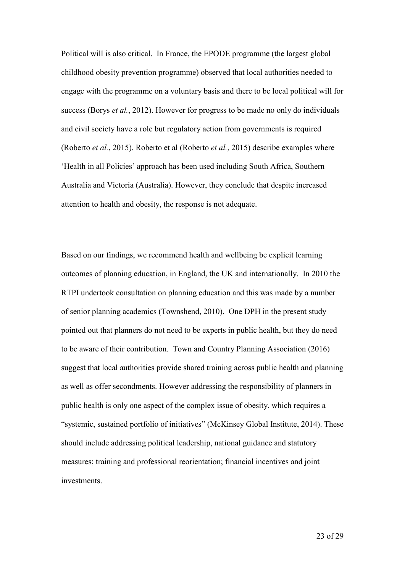Political will is also critical. In France, the EPODE programme (the largest global childhood obesity prevention programme) observed that local authorities needed to engage with the programme on a voluntary basis and there to be local political will for success (Borys *et al.*, 2012). However for progress to be made no only do individuals and civil society have a role but regulatory action from governments is required (Roberto *et al.*, 2015). Roberto et al (Roberto *et al.*, 2015) describe examples where 'Health in all Policies' approach has been used including South Africa, Southern Australia and Victoria (Australia). However, they conclude that despite increased attention to health and obesity, the response is not adequate.

Based on our findings, we recommend health and wellbeing be explicit learning outcomes of planning education, in England, the UK and internationally. In 2010 the RTPI undertook consultation on planning education and this was made by a number of senior planning academics (Townshend, 2010). One DPH in the present study pointed out that planners do not need to be experts in public health, but they do need to be aware of their contribution. Town and Country Planning Association (2016) suggest that local authorities provide shared training across public health and planning as well as offer secondments. However addressing the responsibility of planners in public health is only one aspect of the complex issue of obesity, which requires a "systemic, sustained portfolio of initiatives" (McKinsey Global Institute, 2014). These should include addressing political leadership, national guidance and statutory measures; training and professional reorientation; financial incentives and joint investments.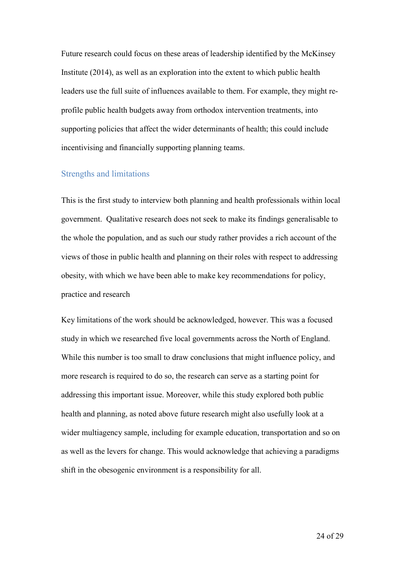Future research could focus on these areas of leadership identified by the McKinsey Institute (2014), as well as an exploration into the extent to which public health leaders use the full suite of influences available to them. For example, they might reprofile public health budgets away from orthodox intervention treatments, into supporting policies that affect the wider determinants of health; this could include incentivising and financially supporting planning teams.

#### Strengths and limitations

This is the first study to interview both planning and health professionals within local government. Qualitative research does not seek to make its findings generalisable to the whole the population, and as such our study rather provides a rich account of the views of those in public health and planning on their roles with respect to addressing obesity, with which we have been able to make key recommendations for policy, practice and research

Key limitations of the work should be acknowledged, however. This was a focused study in which we researched five local governments across the North of England. While this number is too small to draw conclusions that might influence policy, and more research is required to do so, the research can serve as a starting point for addressing this important issue. Moreover, while this study explored both public health and planning, as noted above future research might also usefully look at a wider multiagency sample, including for example education, transportation and so on as well as the levers for change. This would acknowledge that achieving a paradigms shift in the obesogenic environment is a responsibility for all.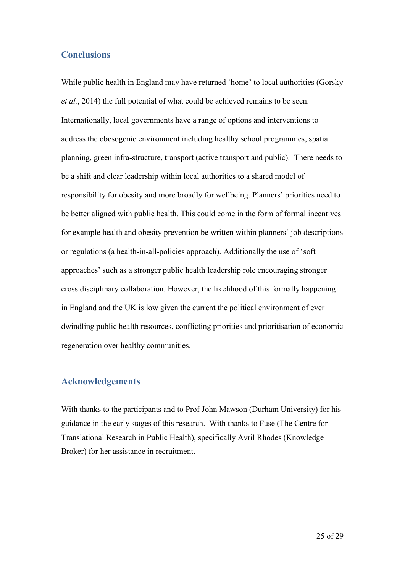## **Conclusions**

While public health in England may have returned 'home' to local authorities (Gorsky *et al.*, 2014) the full potential of what could be achieved remains to be seen. Internationally, local governments have a range of options and interventions to address the obesogenic environment including healthy school programmes, spatial planning, green infra-structure, transport (active transport and public). There needs to be a shift and clear leadership within local authorities to a shared model of responsibility for obesity and more broadly for wellbeing. Planners' priorities need to be better aligned with public health. This could come in the form of formal incentives for example health and obesity prevention be written within planners' job descriptions or regulations (a health-in-all-policies approach). Additionally the use of 'soft approaches' such as a stronger public health leadership role encouraging stronger cross disciplinary collaboration. However, the likelihood of this formally happening in England and the UK is low given the current the political environment of ever dwindling public health resources, conflicting priorities and prioritisation of economic regeneration over healthy communities.

## **Acknowledgements**

With thanks to the participants and to Prof John Mawson (Durham University) for his guidance in the early stages of this research. With thanks to Fuse (The Centre for Translational Research in Public Health), specifically Avril Rhodes (Knowledge Broker) for her assistance in recruitment.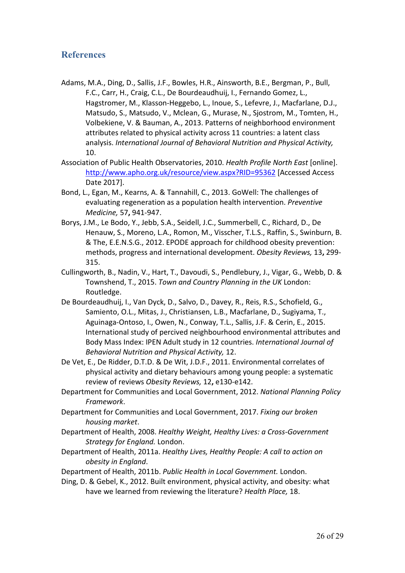# **References**

- Adams, M.A., Ding, D., Sallis, J.F., Bowles, H.R., Ainsworth, B.E., Bergman, P., Bull, F.C., Carr, H., Craig, C.L., De Bourdeaudhuij, I., Fernando Gomez, L., Hagstromer, M., Klasson-Heggebo, L., Inoue, S., Lefevre, J., Macfarlane, D.J., Matsudo, S., Matsudo, V., Mclean, G., Murase, N., Sjostrom, M., Tomten, H., Volbekiene, V. & Bauman, A., 2013. Patterns of neighborhood environment attributes related to physical activity across 11 countries: a latent class analysis. *International Journal of Behavioral Nutrition and Physical Activity,*  10.
- Association of Public Health Observatories, 2010. *Health Profile North East* [online]. <http://www.apho.org.uk/resource/view.aspx?RID=95362> [Accessed Access Date 2017].
- Bond, L., Egan, M., Kearns, A. & Tannahill, C., 2013. GoWell: The challenges of evaluating regeneration as a population health intervention. *Preventive Medicine,* 57**,** 941-947.
- Borys, J.M., Le Bodo, Y., Jebb, S.A., Seidell, J.C., Summerbell, C., Richard, D., De Henauw, S., Moreno, L.A., Romon, M., Visscher, T.L.S., Raffin, S., Swinburn, B. & The, E.E.N.S.G., 2012. EPODE approach for childhood obesity prevention: methods, progress and international development. *Obesity Reviews,* 13**,** 299- 315.
- Cullingworth, B., Nadin, V., Hart, T., Davoudi, S., Pendlebury, J., Vigar, G., Webb, D. & Townshend, T., 2015. *Town and Country Planning in the UK* London: Routledge.
- De Bourdeaudhuij, I., Van Dyck, D., Salvo, D., Davey, R., Reis, R.S., Schofield, G., Samiento, O.L., Mitas, J., Christiansen, L.B., Macfarlane, D., Sugiyama, T., Aguinaga-Ontoso, I., Owen, N., Conway, T.L., Sallis, J.F. & Cerin, E., 2015. International study of percived neighbourhood environmental attributes and Body Mass Index: IPEN Adult study in 12 countries. *International Journal of Behavioral Nutrition and Physical Activity,* 12.
- De Vet, E., De Ridder, D.T.D. & De Wit, J.D.F., 2011. Environmental correlates of physical activity and dietary behaviours among young people: a systematic review of reviews *Obesity Reviews,* 12**,** e130-e142.
- Department for Communities and Local Government, 2012. *National Planning Policy Framework*.
- Department for Communities and Local Government, 2017. *Fixing our broken housing market*.
- Department of Health, 2008. *Healthy Weight, Healthy Lives: a Cross-Government Strategy for England.* London.
- Department of Health, 2011a. *Healthy Lives, Healthy People: A call to action on obesity in England*.
- Department of Health, 2011b. *Public Health in Local Government.* London.
- Ding, D. & Gebel, K., 2012. Built environment, physical activity, and obesity: what have we learned from reviewing the literature? *Health Place,* 18.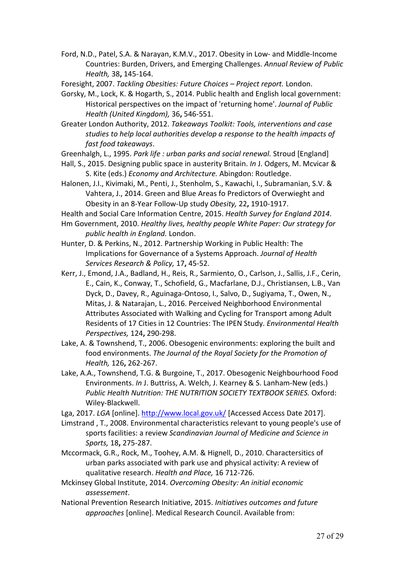Ford, N.D., Patel, S.A. & Narayan, K.M.V., 2017. Obesity in Low- and Middle-Income Countries: Burden, Drivers, and Emerging Challenges. *Annual Review of Public Health,* 38**,** 145-164.

Foresight, 2007. *Tackling Obesities: Future Choices – Project report.* London.

Gorsky, M., Lock, K. & Hogarth, S., 2014. Public health and English local government: Historical perspectives on the impact of 'returning home'. *Journal of Public Health (United Kingdom),* 36**,** 546-551.

Greater London Authority, 2012. *Takeaways Toolkit: Tools, interventions and case studies to help local authorities develop a response to the health impacts of fast food takeaways*.

Greenhalgh, L., 1995. *Park life : urban parks and social renewal.* Stroud [England]

Hall, S., 2015. Designing public space in austerity Britain. *In* J. Odgers, M. Mcvicar & S. Kite (eds.) *Economy and Architecture.* Abingdon: Routledge.

Halonen, J.I., Kivimaki, M., Penti, J., Stenholm, S., Kawachi, I., Subramanian, S.V. & Vahtera, J., 2014. Green and Blue Areas fo Predictors of Overwieght and Obesity in an 8-Year Follow-Up study *Obesity,* 22**,** 1910-1917.

Health and Social Care Information Centre, 2015. *Health Survey for England 2014*.

Hm Government, 2010. *Healthy lives, healthy people White Paper: Our strategy for public health in England.* London.

Hunter, D. & Perkins, N., 2012. Partnership Working in Public Health: The Implications for Governance of a Systems Approach. *Journal of Health Services Research & Policy,* 17**,** 45-52.

Kerr, J., Emond, J.A., Badland, H., Reis, R., Sarmiento, O., Carlson, J., Sallis, J.F., Cerin, E., Cain, K., Conway, T., Schofield, G., Macfarlane, D.J., Christiansen, L.B., Van Dyck, D., Davey, R., Aguinaga-Ontoso, I., Salvo, D., Sugiyama, T., Owen, N., Mitas, J. & Natarajan, L., 2016. Perceived Neighborhood Environmental Attributes Associated with Walking and Cycling for Transport among Adult Residents of 17 Cities in 12 Countries: The IPEN Study. *Environmental Health Perspectives,* 124**,** 290-298.

Lake, A. & Townshend, T., 2006. Obesogenic environments: exploring the built and food environments. *The Journal of the Royal Society for the Promotion of Health,* 126**,** 262-267.

Lake, A.A., Townshend, T.G. & Burgoine, T., 2017. Obesogenic Neighbourhood Food Environments. *In* J. Buttriss, A. Welch, J. Kearney & S. Lanham-New (eds.) *Public Health Nutrition: THE NUTRITION SOCIETY TEXTBOOK SERIES.* Oxford: Wiley-Blackwell.

Lga, 2017. LGA [online].<http://www.local.gov.uk/> [Accessed Access Date 2017].

Limstrand , T., 2008. Environmental characteristics relevant to young people's use of sports facilities: a review *Scandinavian Journal of Medicine and Science in Sports,* 18**,** 275-287.

Mccormack, G.R., Rock, M., Toohey, A.M. & Hignell, D., 2010. Charactersitics of urban parks associated with park use and physical activity: A review of qualitative research. *Health and Place,* 16 712-726.

Mckinsey Global Institute, 2014. *Overcoming Obesity: An initial economic assessement*.

National Prevention Research Initiative, 2015. *Initiatives outcomes and future approaches* [online]. Medical Research Council. Available from: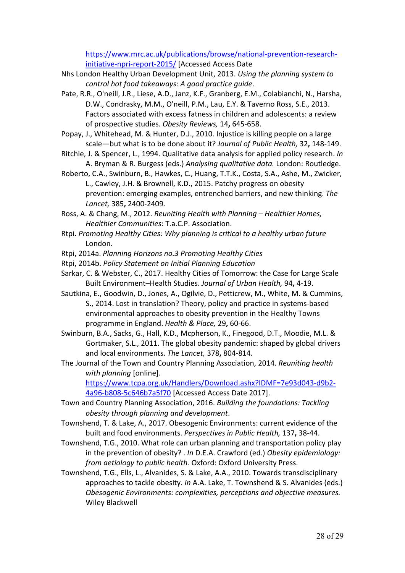[https://www.mrc.ac.uk/publications/browse/national-prevention-research](https://www.mrc.ac.uk/publications/browse/national-prevention-research-initiative-npri-report-2015/)[initiative-npri-report-2015/](https://www.mrc.ac.uk/publications/browse/national-prevention-research-initiative-npri-report-2015/) [Accessed Access Date

- Nhs London Healthy Urban Development Unit, 2013. *Using the planning system to control hot food takeaways: A good practice guide*.
- Pate, R.R., O'neill, J.R., Liese, A.D., Janz, K.F., Granberg, E.M., Colabianchi, N., Harsha, D.W., Condrasky, M.M., O'neill, P.M., Lau, E.Y. & Taverno Ross, S.E., 2013. Factors associated with excess fatness in children and adolescents: a review of prospective studies. *Obesity Reviews,* 14**,** 645-658.
- Popay, J., Whitehead, M. & Hunter, D.J., 2010. Injustice is killing people on a large scale—but what is to be done about it? *Journal of Public Health,* 32**,** 148-149.
- Ritchie, J. & Spencer, L., 1994. Qualitative data analysis for applied policy research. *In* A. Bryman & R. Burgess (eds.) *Analysing qualitative data.* London: Routledge.
- Roberto, C.A., Swinburn, B., Hawkes, C., Huang, T.T.K., Costa, S.A., Ashe, M., Zwicker, L., Cawley, J.H. & Brownell, K.D., 2015. Patchy progress on obesity prevention: emerging examples, entrenched barriers, and new thinking. *The Lancet,* 385**,** 2400-2409.
- Ross, A. & Chang, M., 2012. *Reuniting Health with Planning Healthier Homes, Healthier Communities*: T.a.C.P. Association.
- Rtpi. *Promoting Healthy Cities: Why planning is critical to a healthy urban future*  London.
- Rtpi, 2014a. *Planning Horizons no.3 Promoting Healthy Cities*
- Rtpi, 2014b. *Policy Statement on Initial Planning Education*
- Sarkar, C. & Webster, C., 2017. Healthy Cities of Tomorrow: the Case for Large Scale Built Environment–Health Studies. *Journal of Urban Health,* 94**,** 4-19.
- Sautkina, E., Goodwin, D., Jones, A., Ogilvie, D., Petticrew, M., White, M. & Cummins, S., 2014. Lost in translation? Theory, policy and practice in systems-based environmental approaches to obesity prevention in the Healthy Towns programme in England. *Health & Place,* 29**,** 60-66.
- Swinburn, B.A., Sacks, G., Hall, K.D., Mcpherson, K., Finegood, D.T., Moodie, M.L. & Gortmaker, S.L., 2011. The global obesity pandemic: shaped by global drivers and local environments. *The Lancet,* 378**,** 804-814.
- The Journal of the Town and Country Planning Association, 2014. *Reuniting health with planning* [online].

[https://www.tcpa.org.uk/Handlers/Download.ashx?IDMF=7e93d043-d9b2-](https://www.tcpa.org.uk/Handlers/Download.ashx?IDMF=7e93d043-d9b2-4a96-b808-5c646b7a5f70) [4a96-b808-5c646b7a5f70](https://www.tcpa.org.uk/Handlers/Download.ashx?IDMF=7e93d043-d9b2-4a96-b808-5c646b7a5f70) [Accessed Access Date 2017].

- Town and Country Planning Association, 2016. *Building the foundations: Tackling obesity through planning and development*.
- Townshend, T. & Lake, A., 2017. Obesogenic Environments: current evidence of the built and food environments. *Perspectives in Public Health,* 137**,** 38-44.
- Townshend, T.G., 2010. What role can urban planning and transportation policy play in the prevention of obesity? . *In* D.E.A. Crawford (ed.) *Obesity epidemiology: from aetiology to public health.* Oxford: Oxford University Press.
- Townshend, T.G., Ells, L., Alvanides, S. & Lake, A.A., 2010. Towards transdisciplinary approaches to tackle obesity. *In* A.A. Lake, T. Townshend & S. Alvanides (eds.) *Obesogenic Environments: complexities, perceptions and objective measures.* Wiley Blackwell